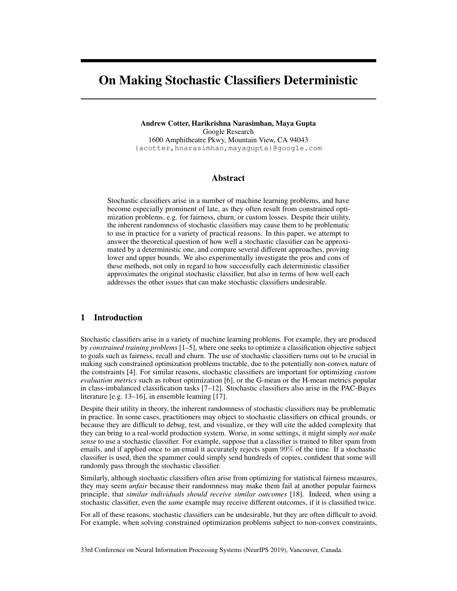# <span id="page-0-7"></span><span id="page-0-5"></span><span id="page-0-2"></span><span id="page-0-1"></span>On Making Stochastic Classifiers Deterministic

Andrew Cotter, Harikrishna Narasimhan, Maya Gupta Google Research 1600 Amphitheatre Pkwy, Mountain View, CA 94043 {acotter,hnarasimhan,mayagupta}@google.com

## <span id="page-0-3"></span>Abstract

<span id="page-0-6"></span>Stochastic classifiers arise in a number of machine learning problems, and have become especially prominent of late, as they often result from constrained optimization problems, e.g. for fairness, churn, or custom losses. Despite their utility, the inherent randomness of stochastic classifiers may cause them to be problematic to use in practice for a variety of practical reasons. In this paper, we attempt to answer the theoretical question of how well a stochastic classifier can be approximated by a deterministic one, and compare several different approaches, proving lower and upper bounds. We also experimentally investigate the pros and cons of these methods, not only in regard to how successfully each deterministic classifier approximates the original stochastic classifier, but also in terms of how well each addresses the other issues that can make stochastic classifiers undesirable.

# 1 Introduction

Stochastic classifiers arise in a variety of machine learning problems. For example, they are produced by *constrained training problems* [\[1](#page-9-0)[–5\]](#page-9-1), where one seeks to optimize a classification objective subject to goals such as fairness, recall and churn. The use of stochastic classifiers turns out to be crucial in making such constrained optimization problems tractable, due to the potentially non-convex nature of the constraints [\[4\]](#page-9-2). For similar reasons, stochastic classifiers are important for optimizing *custom evaluation metrics* such as robust optimization [\[6\]](#page-9-3), or the G-mean or the H-mean metrics popular in class-imbalanced classification tasks [\[7–](#page-9-4)[12\]](#page-9-5). Stochastic classifiers also arise in the PAC-Bayes literature [e.g. [13–](#page-9-6)[16\]](#page-9-7), in ensemble learning [\[17\]](#page-9-8).

<span id="page-0-8"></span><span id="page-0-4"></span><span id="page-0-0"></span>Despite their utility in theory, the inherent randomness of stochastic classifiers may be problematic in practice. In some cases, practitioners may object to stochastic classifiers on ethical grounds, or because they are difficult to debug, test, and visualize, or they will cite the added complexity that they can bring to a real-world production system. Worse, in some settings, it might simply *not make sense* to use a stochastic classifier. For example, suppose that a classifier is trained to filter spam from emails, and if applied once to an email it accurately rejects spam 99% of the time. If a stochastic classifier is used, then the spammer could simply send hundreds of copies, confident that some will randomly pass through the stochastic classifier.

Similarly, although stochastic classifiers often arise from optimizing for statistical fairness measures, they may seem *unfair* because their randomness may make them fail at another popular fairness principle, that *similar individuals should receive similar outcomes* [\[18\]](#page-9-9). Indeed, when using a stochastic classifier, even the *same* example may receive different outcomes, if it is classified twice.

For all of these reasons, stochastic classifiers can be undesirable, but they are often difficult to avoid. For example, when solving constrained optimization problems subject to non-convex constraints,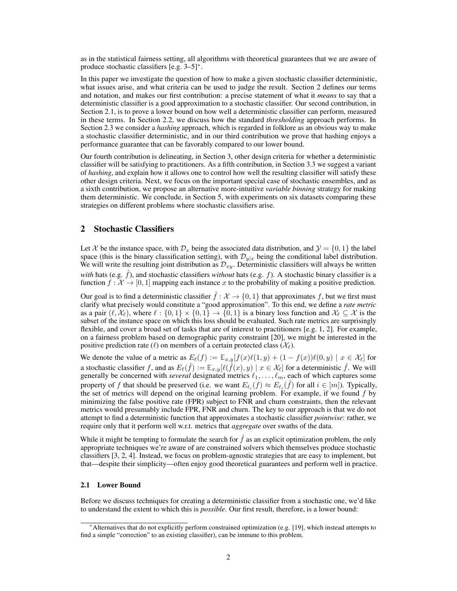as in the statistical fairness setting, all algorithms with theoretical guarantees that we are aware of produce stochastic classifiers  $[e.g. 3-5]$  $[e.g. 3-5]$  $[e.g. 3-5]$ <sup>\*</sup>.

In this paper we investigate the question of how to make a given stochastic classifier deterministic, what issues arise, and what criteria can be used to judge the result. Section [2](#page-1-1) defines our terms and notation, and makes our first contribution: a precise statement of what it *means* to say that a deterministic classifier is a good approximation to a stochastic classifier. Our second contribution, in Section [2.1,](#page-1-2) is to prove a lower bound on how well a deterministic classifier can perform, measured in these terms. In Section [2.2,](#page-2-0) we discuss how the standard *thresholding* approach performs. In Section [2.3](#page-2-1) we consider a *hashing* approach, which is regarded in folklore as an obvious way to make a stochastic classifier deterministic, and in our third contribution we prove that hashing enjoys a performance guarantee that can be favorably compared to our lower bound.

Our fourth contribution is delineating, in Section [3,](#page-4-0) other design criteria for whether a deterministic classifier will be satisfying to practitioners. As a fifth contribution, in Section [3.3](#page-4-1) we suggest a variant of *hashing*, and explain how it allows one to control how well the resulting classifier will satisfy these other design criteria. Next, we focus on the important special case of stochastic ensembles, and as a sixth contribution, we propose an alternative more-intuitive *variable binning* strategy for making them deterministic. We conclude, in Section [5,](#page-5-0) with experiments on six datasets comparing these strategies on different problems where stochastic classifiers arise.

## <span id="page-1-1"></span>2 Stochastic Classifiers

Let *X* be the instance space, with  $\mathcal{D}_x$  being the associated data distribution, and  $\mathcal{Y} = \{0, 1\}$  the label space (this is the binary classification setting), with  $\mathcal{D}_{y|x}$  being the conditional label distribution. We will write the resulting joint distribution as *Dxy*. Deterministic classifiers will always be written *with* hats (e.g.  $\hat{f}$ ), and stochastic classifiers *without* hats (e.g.  $f$ ). A stochastic binary classifier is a function  $f: \mathcal{X} \to [0, 1]$  mapping each instance x to the probability of making a positive prediction.

Our goal is to find a deterministic classifier  $\hat{f}$  :  $\mathcal{X} \to \{0,1\}$  that approximates f, but we first must clarify what precisely would constitute a "good approximation". To this end, we define a *rate metric* as a pair  $(\ell, \mathcal{X}_{\ell})$ , where  $\ell : \{0,1\} \times \{0,1\} \rightarrow \{0,1\}$  is a binary loss function and  $\mathcal{X}_{\ell} \subseteq \mathcal{X}$  is the subset of the instance space on which this loss should be evaluated. Such rate metrics are surprisingly flexible, and cover a broad set of tasks that are of interest to practitioners [e.g. [1,](#page-9-0) [2\]](#page-9-11). For example, on a fairness problem based on demographic parity constraint [\[20\]](#page-10-0), we might be interested in the positive prediction rate ( $\ell$ ) on members of a certain protected class ( $\mathcal{X}_{\ell}$ ).

We denote the value of a metric as  $E_{\ell}(f) := \mathbb{E}_{x,y}[f(x)\ell(1,y) + (1 - f(x))\ell(0,y) \mid x \in \mathcal{X}_{\ell}$  for a stochastic classifier *f*, and as  $E_{\ell}(\hat{f}) := \mathbb{E}_{x,y}[\ell(\hat{f}(x), y) \mid x \in \mathcal{X}_{\ell}]$  for a deterministic  $\hat{f}$ . We will generally be concerned with *several* designated metrics  $\ell_1, \ldots, \ell_m$ , each of which captures some property of f that should be preserved (i.e. we want  $E_{\ell_i}(f) \approx E_{\ell_i}(f)$  for all  $i \in [m]$ ). Typically, the set of metrics will depend on the original learning problem. For example, if we found *f* by minimizing the false positive rate (FPR) subject to FNR and churn constraints, then the relevant metrics would presumably include FPR, FNR and churn. The key to our approach is that we do not attempt to find a deterministic function that approximates a stochastic classifier *pointwise*: rather, we require only that it perform well w.r.t. metrics that *aggregate* over swaths of the data.

While it might be tempting to formulate the search for  $\hat{f}$  as an explicit optimization problem, the only appropriate techniques we're aware of are constrained solvers which themselves produce stochastic classifiers [\[3,](#page-9-10) [2,](#page-9-11) [4\]](#page-9-2). Instead, we focus on problem-agnostic strategies that are easy to implement, but that—despite their simplicity—often enjoy good theoretical guarantees and perform well in practice.

#### <span id="page-1-2"></span>2.1 Lower Bound

Before we discuss techniques for creating a deterministic classifier from a stochastic one, we'd like to understand the extent to which this is *possible*. Our first result, therefore, is a lower bound:

<span id="page-1-0"></span><sup>⇤</sup>Alternatives that do not explicitly perform constrained optimization (e.g. [\[19\]](#page-10-1), which instead attempts to find a simple "correction" to an existing classifier), can be immune to this problem.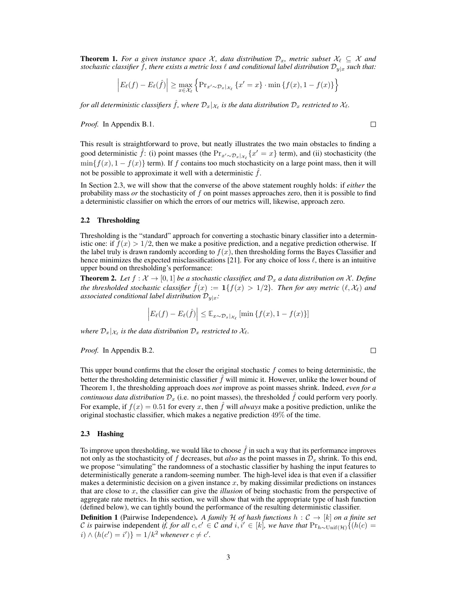<span id="page-2-2"></span>**Theorem 1.** For a given instance space  $X$ , data distribution  $\mathcal{D}_x$ , metric subset  $X_\ell \subseteq X$  and *stochastic classifier f, there exists a metric loss*  $\ell$  *and conditional label distribution*  $\mathcal{D}_{y|x}$  *such that:* 

$$
\left| E_{\ell}(f) - E_{\ell}(\hat{f}) \right| \ge \max_{x \in \mathcal{X}_{\ell}} \left\{ \Pr_{x' \sim \mathcal{D}_x |_{\mathcal{X}_{\ell}}} \left\{ x' = x \right\} \cdot \min \left\{ f(x), 1 - f(x) \right\} \right\}
$$

*for all deterministic classifiers*  $\hat{f}$ *, where*  $\mathcal{D}_x|_{\mathcal{X}_\ell}$  *is the data distribution*  $\mathcal{D}_x$  *restricted to*  $\mathcal{X}_\ell$ *.* 

*Proof.* In Appendix [B.1.](#page-0-0)

 $\Box$ 

 $\Box$ 

This result is straightforward to prove, but neatly illustrates the two main obstacles to finding a good deterministic  $\hat{f}$ : (i) point masses (the  $Pr_{x'\sim\mathcal{D}_x|x_\ell}\{x'=x\}$  term), and (ii) stochasticity (the  $\min\{f(x), 1 - f(x)\}$  term). If *f* contains too much stochasticity on a large point mass, then it will not be possible to approximate it well with a deterministic  $\hat{f}$ .

In Section [2.3,](#page-2-1) we will show that the converse of the above statement roughly holds: if *either* the probability mass *or* the stochasticity of *f* on point masses approaches zero, then it is possible to find a deterministic classifier on which the errors of our metrics will, likewise, approach zero.

#### <span id="page-2-0"></span>2.2 Thresholding

Thresholding is the "standard" approach for converting a stochastic binary classifier into a deterministic one: if  $f(x) > 1/2$ , then we make a positive prediction, and a negative prediction otherwise. If the label truly is drawn randomly according to  $f(x)$ , then thresholding forms the Bayes Classifier and hence minimizes the expected misclassifications [\[21\]](#page-10-2). For any choice of loss  $\ell$ , there is an intuitive upper bound on thresholding's performance:

**Theorem 2.** Let  $f : \mathcal{X} \to [0,1]$  be a stochastic classifier, and  $\mathcal{D}_x$  a data distribution on X. Define *the thresholded stochastic classifier*  $\hat{f}(x) := \mathbf{1}\{f(x) > 1/2\}$ *. Then for any metric*  $(\ell, \mathcal{X}_{\ell})$  *and associated conditional label distribution D<sup>y</sup>|<sup>x</sup>:*

$$
\left| E_{\ell}(f) - E_{\ell}(\hat{f}) \right| \leq \mathbb{E}_{x \sim \mathcal{D}_x | \mathcal{X}_{\ell}} \left[ \min \{ f(x), 1 - f(x) \} \right]
$$

*where*  $\mathcal{D}_x|_{\mathcal{X}_\ell}$  *is the data distribution*  $\mathcal{D}_x$  *restricted to*  $\mathcal{X}_\ell$ *.* 

*Proof.* In Appendix [B.2.](#page-0-0)

This upper bound confirms that the closer the original stochastic *f* comes to being deterministic, the better the thresholding deterministic classifier f will mimic it. However, unlike the lower bound of Theorem [1,](#page-2-2) the thresholding approach does *not* improve as point masses shrink. Indeed, *even for a continuous data distribution*  $\mathcal{D}_x$  (i.e. no point masses), the thresholded  $f$  could perform very poorly. For example, if  $f(x) = 0.51$  for every *x*, then  $\hat{f}$  will *always* make a positive prediction, unlike the original stochastic classifier, which makes a negative prediction 49% of the time.

#### <span id="page-2-1"></span>2.3 Hashing

To improve upon thresholding, we would like to choose  $f$  in such a way that its performance improves not only as the stochasticity of f decreases, but *also* as the point masses in  $\mathcal{D}_x$  shrink. To this end, we propose "simulating" the randomness of a stochastic classifier by hashing the input features to deterministically generate a random-seeming number. The high-level idea is that even if a classifier makes a deterministic decision on a given instance  $x$ , by making dissimilar predictions on instances that are close to *x*, the classifier can give the *illusion* of being stochastic from the perspective of aggregate rate metrics. In this section, we will show that with the appropriate type of hash function (defined below), we can tightly bound the performance of the resulting deterministic classifier.

**Definition 1** (Pairwise Independence). A family  $H$  of hash functions  $h : C \rightarrow [k]$  on a finite set *C* is pairwise independent *if, for all c, c'*  $\in$  *C and i, i'*  $\in$  [k]*, we have that*  $Pr_{h \sim \text{Unif}(\mathcal{H})}\{(h(c) = 0, 0)\}$  $i) \wedge (h(c') = i')$  =  $1/k^2$  *whenever*  $c \neq c'.$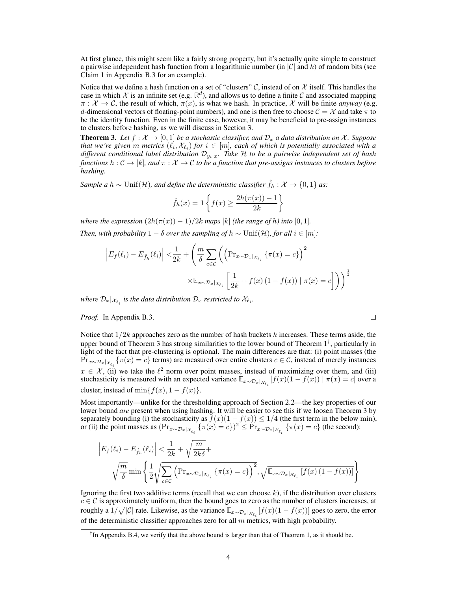At first glance, this might seem like a fairly strong property, but it's actually quite simple to construct a pairwise independent hash function from a logarithmic number (in *|C|* and *k*) of random bits (see Claim [1](#page-0-1) in Appendix [B.3](#page-0-2) for an example).

Notice that we define a hash function on a set of "clusters"  $C$ , instead of on  $\mathcal X$  itself. This handles the case in which  $\mathcal X$  is an infinite set (e.g.  $\mathbb R^d$ ), and allows us to define a finite  $\mathcal C$  and associated mapping  $\pi : \mathcal{X} \to \mathcal{C}$ , the result of which,  $\pi(x)$ , is what we hash. In practice,  $\mathcal{X}$  will be finite *anyway* (e.g. *d*-dimensional vectors of floating-point numbers), and one is then free to choose  $C = \mathcal{X}$  and take  $\pi$  to be the identity function. Even in the finite case, however, it may be beneficial to pre-assign instances to clusters before hashing, as we will discuss in Section [3.](#page-4-0)

<span id="page-3-0"></span>**Theorem 3.** Let  $f : \mathcal{X} \to [0,1]$  be a stochastic classifier, and  $\mathcal{D}_x$  a data distribution on X. Suppose *that we're given m metrics*  $(\ell_i, \mathcal{X}_{\ell_i})$  *for*  $i \in [m]$ *, each of which is potentially associated with a different conditional label distribution Dyi|<sup>x</sup>. Take H to be a pairwise independent set of hash functions*  $h: \mathcal{C} \to [k]$ *, and*  $\pi: \mathcal{X} \to \mathcal{C}$  to be a function that pre-assigns instances to clusters before *hashing.*

*Sample a*  $h \sim \text{Unif}(\mathcal{H})$ *, and define the deterministic classifier*  $\hat{f}_h : \mathcal{X} \to \{0,1\}$  *as:* 

$$
\hat{f}_h(x) = \mathbf{1}\left\{f(x) \ge \frac{2h(\pi(x)) - 1}{2k}\right\}
$$

*where the expression*  $(2h(\pi(x)) - 1)/2k$  *maps* [*k*] *(the range of h) into* [0, 1]*.* 

*Then, with probability*  $1 - \delta$  *over the sampling of*  $h \sim \text{Unif}(\mathcal{H})$ *, for all*  $i \in [m]$ *:* 

$$
\left| E_f(\ell_i) - E_{\hat{f}_h}(\ell_i) \right| < \frac{1}{2k} + \left( \frac{m}{\delta} \sum_{c \in \mathcal{C}} \left( \left( \Pr_{x \sim \mathcal{D}_x | x_{\ell_i}} \left\{ \pi(x) = c \right\} \right)^2 \right) \times \mathbb{E}_{x \sim \mathcal{D}_x | x_{\ell_i}} \left[ \frac{1}{2k} + f(x) \left( 1 - f(x) \right) \mid \pi(x) = c \right] \right) \right)^{\frac{1}{2}}
$$

*where*  $\mathcal{D}_x |_{\mathcal{X}_{\ell_i}}$  *is the data distribution*  $\mathcal{D}_x$  *restricted to*  $\mathcal{X}_{\ell_i}$ *.* 

#### *Proof.* In Appendix [B.3.](#page-0-3)

Notice that 1*/*2*k* approaches zero as the number of hash buckets *k* increases. These terms aside, the upper bound of Theorem [3](#page-3-0) has strong similarities to the lower bound of Theorem [1](#page-2-2)*[†](#page-3-1)*, particularly in light of the fact that pre-clustering is optional. The main differences are that: (i) point masses (the  $Pr_{x \sim \mathcal{D}_x | x_{\ell_i}} \{\pi(x) = c\}$  terms) are measured over entire clusters  $c \in \mathcal{C}$ , instead of merely instances  $x \in \mathcal{X}$ , (ii) we take the  $\ell^2$  norm over point masses, instead of maximizing over them, and (iii) stochasticity is measured with an expected variance  $\mathbb{E}_{x \sim \mathcal{D}_x |_{\mathcal{X}_{\ell_i}}} [f(x)(1 - f(x)) | \pi(x) = c]$  over a cluster, instead of  $\min\{f(x), 1 - f(x)\}.$ 

 $\Box$ 

Most importantly—unlike for the thresholding approach of Section [2.2—](#page-2-0)the key properties of our lower bound *are* present when using hashing. It will be easier to see this if we loosen Theorem [3](#page-3-0) by separately bounding (i) the stochasticity as  $f(x)(1 - f(x)) \le 1/4$  (the first term in the below min), or (ii) the point masses as  $(\Pr_{x \sim \mathcal{D}_x | x_{\ell_i}} {\{\pi(x) = c\}})^2 \leq \Pr_{x \sim \mathcal{D}_x | x_{\ell_i}} {\{\pi(x) = c\}}$  (the second):

$$
\left| E_f(\ell_i) - E_{\hat{f}_h}(\ell_i) \right| < \frac{1}{2k} + \sqrt{\frac{m}{2k\delta}} + \sqrt{\frac{m}{2\delta}} \sqrt{\frac{m}{\delta}} \text{ min } \left\{ \frac{1}{2} \sqrt{\sum_{c \in \mathcal{C}} \left( \Pr_{x \sim \mathcal{D}_x |_{\mathcal{X}_{\ell_i}}} \left\{ \pi(x) = c \right\} \right)^2}, \sqrt{\mathbb{E}_{x \sim \mathcal{D}_x |_{\mathcal{X}_{\ell_i}}} \left[ f(x) \left( 1 - f(x) \right) \right]} \right\}
$$

Ignoring the first two additive terms (recall that we can choose *k*), if the distribution over clusters  $c \in \mathcal{C}$  is approximately uniform, then the bound goes to zero as the number of clusters increases, at roughly a  $1/\sqrt{|C|}$  rate. Likewise, as the variance  $\mathbb{E}_{x \sim \mathcal{D}_x|_{\mathcal{X}_{\ell_i}}}[f(x)(1-f(x))]$  goes to zero, the error of the deterministic classifier approaches zero for all *m* metrics, with high probability.

<span id="page-3-1"></span>*<sup>†</sup>*In Appendix [B.4,](#page-0-4) we verify that the above bound is larger than that of Theorem [1,](#page-2-2) as it should be.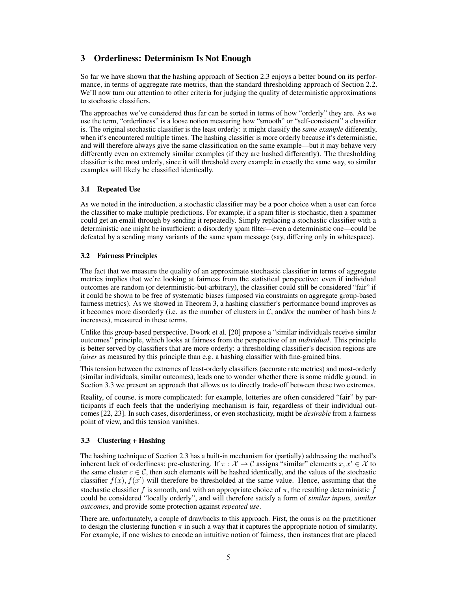# <span id="page-4-0"></span>3 Orderliness: Determinism Is Not Enough

So far we have shown that the hashing approach of Section [2.3](#page-2-1) enjoys a better bound on its performance, in terms of aggregate rate metrics, than the standard thresholding approach of Section [2.2.](#page-2-0) We'll now turn our attention to other criteria for judging the quality of deterministic approximations to stochastic classifiers.

The approaches we've considered thus far can be sorted in terms of how "orderly" they are. As we use the term, "orderliness" is a loose notion measuring how "smooth" or "self-consistent" a classifier is. The original stochastic classifier is the least orderly: it might classify the *same example* differently, when it's encountered multiple times. The hashing classifier is more orderly because it's deterministic, and will therefore always give the same classification on the same example—but it may behave very differently even on extremely similar examples (if they are hashed differently). The thresholding classifier is the most orderly, since it will threshold every example in exactly the same way, so similar examples will likely be classified identically.

## 3.1 Repeated Use

As we noted in the introduction, a stochastic classifier may be a poor choice when a user can force the classifier to make multiple predictions. For example, if a spam filter is stochastic, then a spammer could get an email through by sending it repeatedly. Simply replacing a stochastic classifier with a deterministic one might be insufficient: a disorderly spam filter—even a deterministic one—could be defeated by a sending many variants of the same spam message (say, differing only in whitespace).

## 3.2 Fairness Principles

The fact that we measure the quality of an approximate stochastic classifier in terms of aggregate metrics implies that we're looking at fairness from the statistical perspective: even if individual outcomes are random (or deterministic-but-arbitrary), the classifier could still be considered "fair" if it could be shown to be free of systematic biases (imposed via constraints on aggregate group-based fairness metrics). As we showed in Theorem [3,](#page-3-0) a hashing classifier's performance bound improves as it becomes more disorderly (i.e. as the number of clusters in  $C$ , and/or the number of hash bins  $k$ increases), measured in these terms.

Unlike this group-based perspective, Dwork et al. [\[20\]](#page-10-0) propose a "similar individuals receive similar outcomes" principle, which looks at fairness from the perspective of an *individual*. This principle is better served by classifiers that are more orderly: a thresholding classifier's decision regions are *fairer* as measured by this principle than e.g. a hashing classifier with fine-grained bins.

This tension between the extremes of least-orderly classifiers (accurate rate metrics) and most-orderly (similar individuals, similar outcomes), leads one to wonder whether there is some middle ground: in Section [3.3](#page-4-1) we present an approach that allows us to directly trade-off between these two extremes.

Reality, of course, is more complicated: for example, lotteries are often considered "fair" by participants if each feels that the underlying mechanism is fair, regardless of their individual outcomes [\[22,](#page-10-3) [23\]](#page-10-4). In such cases, disorderliness, or even stochasticity, might be *desirable* from a fairness point of view, and this tension vanishes.

## <span id="page-4-1"></span>3.3 Clustering + Hashing

The hashing technique of Section [2.3](#page-2-1) has a built-in mechanism for (partially) addressing the method's inherent lack of orderliness: pre-clustering. If  $\pi : \mathcal{X} \to \mathcal{C}$  assigns "similar" elements  $x, x' \in \mathcal{X}$  to the same cluster  $c \in \mathcal{C}$ , then such elements will be hashed identically, and the values of the stochastic classifier  $f(x)$ ,  $f(x')$  will therefore be thresholded at the same value. Hence, assuming that the stochastic classifier f is smooth, and with an appropriate choice of  $\pi$ , the resulting deterministic f could be considered "locally orderly", and will therefore satisfy a form of *similar inputs, similar outcomes*, and provide some protection against *repeated use*.

There are, unfortunately, a couple of drawbacks to this approach. First, the onus is on the practitioner to design the clustering function  $\pi$  in such a way that it captures the appropriate notion of similarity. For example, if one wishes to encode an intuitive notion of fairness, then instances that are placed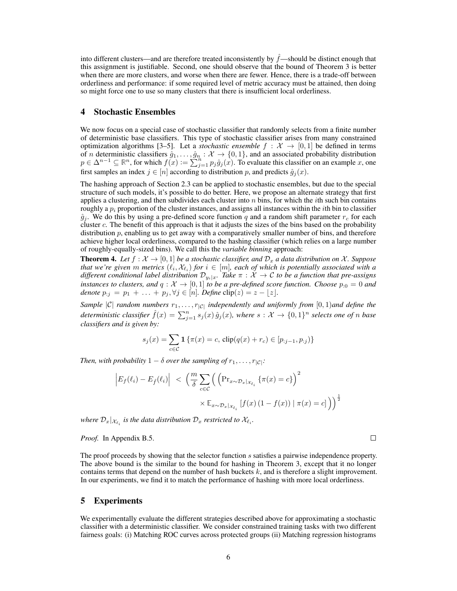into different clusters—and are therefore treated inconsistently by  $\hat{f}$ —should be distinct enough that this assignment is justifiable. Second, one should observe that the bound of Theorem [3](#page-3-0) is better when there are more clusters, and worse when there are fewer. Hence, there is a trade-off between orderliness and performance: if some required level of metric accuracy must be attained, then doing so might force one to use so many clusters that there is insufficient local orderliness.

#### <span id="page-5-1"></span>4 Stochastic Ensembles

We now focus on a special case of stochastic classifier that randomly selects from a finite number of deterministic base classifiers. This type of stochastic classifier arises from many constrained optimization algorithms [\[3–](#page-9-10)[5\]](#page-9-1). Let a *stochastic ensemble*  $f : \mathcal{X} \to [0,1]$  be defined in terms of *n* deterministic classifiers  $\hat{g}_1, \ldots, \hat{g}_n : \mathcal{X} \to \{0, 1\}$ , and an associated probability distribution  $p \in \Delta^{n-1} \subseteq \mathbb{R}^n$ , for which  $f(x) := \sum_{j=1}^{n} p_j \hat{g}_j(x)$ . To evaluate this classifier on an example *x*, one first samples an index  $j \in [n]$  according to distribution p, and predicts  $\hat{g}_j(x)$ .

The hashing approach of Section [2.3](#page-2-1) can be applied to stochastic ensembles, but due to the special structure of such models, it's possible to do better. Here, we propose an alternate strategy that first applies a clustering, and then subdivides each cluster into *n* bins, for which the *i*th such bin contains roughly a  $p_i$  proportion of the cluster instances, and assigns all instances within the *i*th bin to classifier  $\hat{g}_j$ . We do this by using a pre-defined score function *q* and a random shift parameter  $r_c$  for each cluster *c*. The benefit of this approach is that it adjusts the sizes of the bins based on the probability distribution *p*, enabling us to get away with a comparatively smaller number of bins, and therefore achieve higher local orderliness, compared to the hashing classifier (which relies on a large number of roughly-equally-sized bins). We call this the *variable binning* approach:

**Theorem 4.** Let  $f : \mathcal{X} \to [0,1]$  be a stochastic classifier, and  $\mathcal{D}_x$  a data distribution on X. Suppose *that we're given m metrics*  $(\ell_i, \mathcal{X}_{\ell_i})$  *for*  $i \in [m]$ *, each of which is potentially associated with a different conditional label distribution*  $D_{y_i|x}$ *. Take*  $\pi : \mathcal{X} \to \mathcal{C}$  to be a function that pre-assigns *instances to clusters, and*  $q : \mathcal{X} \to [0,1]$  *to be a pre-defined score function. Choose*  $p_{0} = 0$  *and denote*  $p_{\cdot j} = p_1 + \ldots + p_j, \forall j \in [n]$ *. Define* clip $(z) = z - \lfloor z \rfloor$ *.* 

*Sample*  $|C|$  *random numbers*  $r_1, \ldots, r_{|C|}$  *independently and uniformly from*  $[0, 1)$ *and define the* deterministic classifier  $\hat{f}(x) = \sum_{j=1}^{n} s_j(x) \hat{g}_j(x)$ , where  $s: \mathcal{X} \to \{0,1\}^n$  selects one of n base *classifiers and is given by:*

$$
s_j(x) = \sum_{c \in \mathcal{C}} \mathbf{1} \{ \pi(x) = c, \text{clip}(q(x) + r_c) \in [p_{:j-1}, p_{:j}) \}
$$

*Then, with probability*  $1 - \delta$  *over the sampling of*  $r_1, \ldots, r_{|\mathcal{C}|}$ *:* 

$$
\left| E_f(\ell_i) - E_{\hat{f}}(\ell_i) \right| \leq \left( \frac{m}{\delta} \sum_{c \in \mathcal{C}} \left( \left( \Pr_{x \sim \mathcal{D}_x | \chi_{\ell_i}} \{ \pi(x) = c \} \right)^2 \right) \times \mathbb{E}_{x \sim \mathcal{D}_x | \chi_{\ell_i}} \left[ f(x) \left( 1 - f(x) \right) \mid \pi(x) = c \right] \right) \right)^{\frac{1}{2}}
$$

*where*  $\mathcal{D}_x |_{\mathcal{X}_{\ell_i}}$  *is the data distribution*  $\mathcal{D}_x$  *restricted to*  $\mathcal{X}_{\ell_i}$ *.* 

*Proof.* In Appendix [B.5.](#page-0-5)

The proof proceeds by showing that the selector function *s* satisfies a pairwise independence property. The above bound is the similar to the bound for hashing in Theorem [3,](#page-3-0) except that it no longer contains terms that depend on the number of hash buckets *k*, and is therefore a slight improvement. In our experiments, we find it to match the performance of hashing with more local orderliness.

 $\Box$ 

#### <span id="page-5-0"></span>5 Experiments

We experimentally evaluate the different strategies described above for approximating a stochastic classifier with a deterministic classifier. We consider constrained training tasks with two different fairness goals: (i) Matching ROC curves across protected groups (ii) Matching regression histograms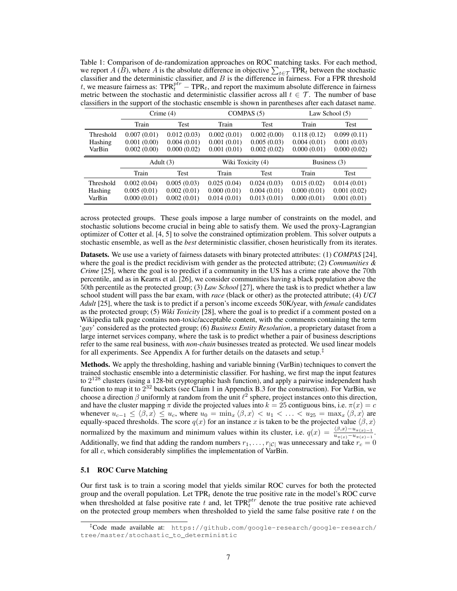<span id="page-6-1"></span>Table 1: Comparison of de-randomization approaches on ROC matching tasks. For each method, we report *A* ( $\hat{B}$ ), where *A* is the absolute difference in objective  $\sum_{t \in \mathcal{T}} \text{TPR}_t$  between the stochastic classifier and the distance is a stochastic classifier and the deterministic classifier, and *B* is the difference in fairness. For a FPR threshold *t*, we measure fairness as:  $TPR_t^{ptr} - TPR_t$ , and report the maximum absolute difference in fairness metric between the stochastic and deterministic classifier across all  $t \in \mathcal{T}$ . The number of base classifiers in the support of the stochastic ensemble is shown in parentheses after each dataset name.

|                                | Crime $(4)$                               |                                           | COMPAS $(5)$                              |                                           | Law School $(5)$                          |                                           |
|--------------------------------|-------------------------------------------|-------------------------------------------|-------------------------------------------|-------------------------------------------|-------------------------------------------|-------------------------------------------|
|                                | Train                                     | Test                                      | Train                                     | Test                                      | Train                                     | Test                                      |
| Threshold<br>Hashing<br>VarBin | 0.007(0.01)<br>0.001(0.00)<br>0.002(0.00) | 0.012(0.03)<br>0.004(0.01)<br>0.000(0.02) | 0.002(0.01)<br>0.001(0.01)<br>0.001(0.01) | 0.002(0.00)<br>0.005(0.03)<br>0.002(0.02) | 0.118(0.12)<br>0.004(0.01)<br>0.000(0.01) | 0.099(0.11)<br>0.001(0.03)<br>0.000(0.02) |
|                                |                                           |                                           |                                           |                                           |                                           |                                           |
|                                | Adult $(3)$                               |                                           | Wiki Toxicity (4)                         |                                           | Business (3)                              |                                           |
|                                | Train                                     | Test                                      | Train                                     | <b>Test</b>                               | Train                                     | Test                                      |

across protected groups. These goals impose a large number of constraints on the model, and stochastic solutions become crucial in being able to satisfy them. We used the proxy-Lagrangian optimizer of Cotter et al. [\[4,](#page-9-2) [5\]](#page-9-1) to solve the constrained optimization problem. This solver outputs a stochastic ensemble, as well as the *best* deterministic classifier, chosen heuristically from its iterates.

Datasets. We use use a variety of fairness datasets with binary protected attributes: (1) *COMPAS* [\[24\]](#page-10-5), where the goal is the predict recidivism with gender as the protected attribute; (2) *Communities & Crime* [\[25\]](#page-10-6), where the goal is to predict if a community in the US has a crime rate above the 70th percentile, and as in Kearns et al. [\[26\]](#page-10-7), we consider communities having a black population above the 50th percentile as the protected group; (3) *Law School* [\[27\]](#page-10-8), where the task is to predict whether a law school student will pass the bar exam, with *race* (black or other) as the protected attribute; (4) *UCI Adult* [\[25\]](#page-10-6), where the task is to predict if a person's income exceeds 50K/year, with *female* candidates as the protected group; (5) *Wiki Toxicity* [\[28\]](#page-10-9), where the goal is to predict if a comment posted on a Wikipedia talk page contains non-toxic/acceptable content, with the comments containing the term '*gay*' considered as the protected group; (6) *Business Entity Resolution*, a proprietary dataset from a large internet services company, where the task is to predict whether a pair of business descriptions refer to the same real business, with *non-chain* businesses treated as protected. We used linear models for all experiments. See Appendix [A](#page-0-6) for further details on the datasets and setup.*[‡](#page-6-0)*

Methods. We apply the thresholding, hashing and variable binning (VarBin) techniques to convert the trained stochastic ensemble into a deterministic classifier. For hashing, we first map the input features to  $2^{128}$  clusters (using a 128-bit cryptographic hash function), and apply a pairwise independent hash function to map it to  $2^{32}$  buckets (see Claim [1](#page-0-1) in Appendix [B.3](#page-0-2) for the construction). For VarBin, we choose a direction  $\beta$  uniformly at random from the unit  $\ell^2$  sphere, project instances onto this direction, and have the cluster mapping  $\pi$  divide the projected values into  $k = 25$  contiguous bins, i.e.  $\pi(x) = c$ whenever  $u_{c-1} \leq \langle \beta, x \rangle \leq u_c$ , where  $u_0 = \min_x \langle \beta, x \rangle < u_1 < \ldots < u_{25} = \max_x \langle \beta, x \rangle$  are equally-spaced thresholds. The score  $q(x)$  for an instance x is taken to be the projected value  $\langle \beta, x \rangle$ normalized by the maximum and minimum values within its cluster, i.e.  $q(x) = \frac{\langle \beta, x \rangle - u_{\pi(x)-1}}{u_{\pi(x)} - u_{\pi(x)-1}}$ . Additionally, we find that adding the random numbers  $r_1, \ldots, r_{|\mathcal{C}|}$  was unnecessary and take  $r_c = 0$ for all *c*, which considerably simplifies the implementation of VarBin.

#### 5.1 ROC Curve Matching

Our first task is to train a scoring model that yields similar ROC curves for both the protected group and the overall population. Let TPR*<sup>t</sup>* denote the true positive rate in the model's ROC curve when thresholded at false positive rate  $t$  and, let  $TPR_t^{ptr}$  denote the true positive rate achieved on the protected group members when thresholded to yield the same false positive rate *t* on the

<span id="page-6-0"></span>*<sup>‡</sup>*Code made available at: [https://github.com/google-research/google-research/](https://github.com/google-research/google-research/tree/master/stochastic_to_deterministic) [tree/master/stochastic\\_to\\_deterministic](https://github.com/google-research/google-research/tree/master/stochastic_to_deterministic)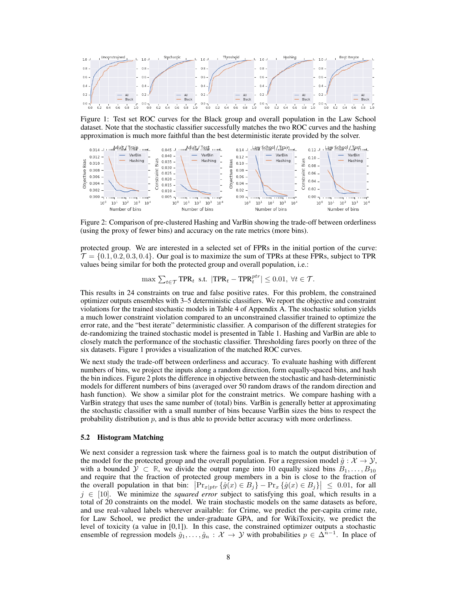<span id="page-7-0"></span>

Figure 1: Test set ROC curves for the Black group and overall population in the Law School dataset. Note that the stochastic classifier successfully matches the two ROC curves and the hashing approximation is much more faithful than the best deterministic iterate provided by the solver.

<span id="page-7-1"></span>

Figure 2: Comparison of pre-clustered Hashing and VarBin showing the trade-off between orderliness (using the proxy of fewer bins) and accuracy on the rate metrics (more bins).

protected group. We are interested in a selected set of FPRs in the initial portion of the curve:  $\mathcal{T} = \{0.1, 0.2, 0.3, 0.4\}$ . Our goal is to maximize the sum of TPRs at these FPRs, subject to TPR values being similar for both the protected group and overall population, i.e.:

 $\max \sum_{t \in \mathcal{T}} \text{TPR}_t$  s.t.  $|\text{TPR}_t - \text{TPR}_t^{ptr}| \leq 0.01, \forall t \in \mathcal{T}$ .

This results in 24 constraints on true and false positive rates. For this problem, the constrained optimizer outputs ensembles with 3–5 deterministic classifiers. We report the objective and constraint violations for the trained stochastic models in Table [4](#page-0-7) of Appendix [A.](#page-0-6) The stochastic solution yields a much lower constraint violation compared to an unconstrained classifier trained to optimize the error rate, and the "best iterate" deterministic classifier. A comparison of the different strategies for de-randomizing the trained stochastic model is presented in Table [1.](#page-6-1) Hashing and VarBin are able to closely match the performance of the stochastic classifier. Thresholding fares poorly on three of the six datasets. Figure [1](#page-7-0) provides a visualization of the matched ROC curves.

We next study the trade-off between orderliness and accuracy. To evaluate hashing with different numbers of bins, we project the inputs along a random direction, form equally-spaced bins, and hash the bin indices. Figure [2](#page-7-1) plots the difference in objective between the stochastic and hash-deterministic models for different numbers of bins (averaged over 50 random draws of the random direction and hash function). We show a similar plot for the constraint metrics. We compare hashing with a VarBin strategy that uses the same number of (total) bins. VarBin is generally better at approximating the stochastic classifier with a small number of bins because VarBin sizes the bins to respect the probability distribution  $p$ , and is thus able to provide better accuracy with more orderliness.

#### 5.2 Histogram Matching

We next consider a regression task where the fairness goal is to match the output distribution of the model for the protected group and the overall population. For a regression model  $\hat{g}: \mathcal{X} \to \mathcal{Y}$ , with a bounded  $\mathcal{Y} \subset \mathbb{R}$ , we divide the output range into 10 equally sized bins  $B_1, \ldots, B_{10}$ and require that the fraction of protected group members in a bin is close to the fraction of the overall population in that bin:  $\left|\Pr_{x|ptr} \{\hat{g}(x) \in B_j\} - \Pr_{x} \{\hat{g}(x) \in B_j\}\right| \leq 0.01$ , for all  $j \in [10]$ . We minimize the *squared error* subject to satisfying this goal, which results in a total of 20 constraints on the model. We train stochastic models on the same datasets as before, and use real-valued labels wherever available: for Crime, we predict the per-capita crime rate, for Law School, we predict the under-graduate GPA, and for WikiToxicity, we predict the level of toxicity (a value in [0,1]). In this case, the constrained optimizer outputs a stochastic ensemble of regression models  $\hat{g}_1, \ldots, \hat{g}_n : \mathcal{X} \to \mathcal{Y}$  with probabilities  $p \in \Delta^{n-1}$ . In place of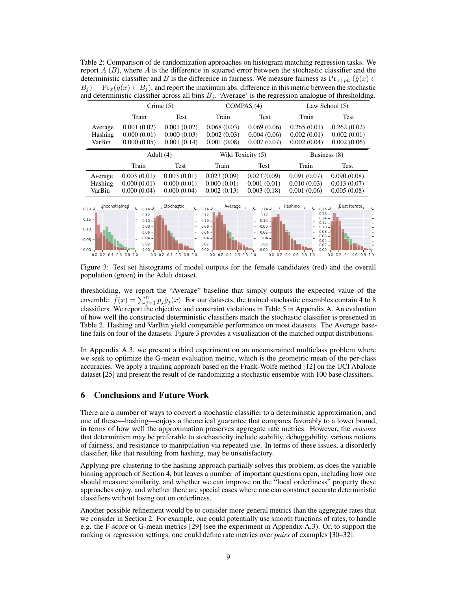<span id="page-8-0"></span>Table 2: Comparison of de-randomization approaches on histogram matching regression tasks. We report *A* (*B*), where *A* is the difference in squared error between the stochastic classifier and the deterministic classifier and *B* is the difference in fairness. We measure fairness as  $Pr_{x \mid ptr}(\hat{g}(x))$  $B_i$  )  $-\Pr_x(\hat{g}(x) \in B_i)$ , and report the maximum abs. difference in this metric between the stochastic and deterministic classifier across all bins  $B_i$ . 'Average' is the regression analogue of thresholding.

|                                                                                                      | Crime $(5)$                                                                                               |                                                                       | COMPAS $(4)$                                                                                                                             |                                                                                                                                    | Law School $(5)$                                                                                                                                       |                                                    |
|------------------------------------------------------------------------------------------------------|-----------------------------------------------------------------------------------------------------------|-----------------------------------------------------------------------|------------------------------------------------------------------------------------------------------------------------------------------|------------------------------------------------------------------------------------------------------------------------------------|--------------------------------------------------------------------------------------------------------------------------------------------------------|----------------------------------------------------|
|                                                                                                      | Train                                                                                                     | Test                                                                  | Train                                                                                                                                    | Test                                                                                                                               | Train                                                                                                                                                  | Test                                               |
| Average<br>Hashing<br>VarBin                                                                         | 0.001(0.02)<br>0.000(0.01)<br>0.000(0.05)                                                                 | 0.001(0.02)<br>0.000(0.03)<br>0.001(0.14)                             | 0.068(0.03)<br>0.002(0.03)<br>0.001(0.08)                                                                                                | 0.069(0.06)<br>0.004(0.06)<br>0.007(0.07)                                                                                          | 0.265(0.01)<br>0.002(0.01)<br>0.002(0.04)                                                                                                              | 0.262(0.02)<br>0.002(0.01)<br>0.002(0.06)          |
|                                                                                                      | Adult $(4)$                                                                                               |                                                                       | Wiki Toxicity (5)                                                                                                                        |                                                                                                                                    | Business (8)                                                                                                                                           |                                                    |
|                                                                                                      | Train                                                                                                     | Test                                                                  | Train                                                                                                                                    | Test                                                                                                                               | Train                                                                                                                                                  | Test                                               |
| Average<br>Hashing<br>VarBin                                                                         | 0.003(0.01)<br>0.000(0.01)<br>0.000(0.04)                                                                 | 0.003(0.01)<br>0.000(0.01)<br>0.000(0.04)                             | 0.023(0.09)<br>0.000(0.01)<br>0.002(0.13)                                                                                                | 0.023(0.09)<br>0.001(0.01)<br>0.003(0.18)                                                                                          | 0.091(0.07)<br>0.010(0.03)<br>0.001(0.06)                                                                                                              | 0.090(0.08)<br>0.013(0.07)<br>0.005(0.08)          |
| Unconstrained<br>$0.20 -$<br>$0.15 -$<br>$0.10 -$<br>$0.05 -$<br>$0.00 -$<br>$0.0$ $0.2$ $0.4$ $0.6$ | $0.14 -$<br>$0.12 -$<br>$0.10 -$<br>$0.08 -$<br>$0.06 -$<br>$0.04 -$<br>$0.02 -$<br>$0.00 -$<br>$0.8$ 1.0 | Stochaștic<br>υ.<br>$0.0$ $0.2$ $0.4$<br>0.6<br>0.8<br>1 <sub>0</sub> | Average<br>$0.14 -$<br>$0.12 -$<br>$0.10 -$<br>$0.08 -$<br>$0.06 -$<br>$0.04 -$<br>$0.02 -$<br>$0.00 -$<br>$0.2 \quad 0.4$<br>0.0<br>0.6 | $0.14 -$<br>$0.12 -$<br>$0.10 -$<br>$0.08 -$<br>$0.06 -$<br>$0.04 -$<br>$0.02 -$<br>$0.00 -$<br>0.2<br>0.0<br>1 <sub>0</sub><br>08 | Hạshing<br>$0.18 -$<br>$0.16 -$<br>$0.14 -$<br>$0.12 -$<br>$0.10 -$<br>$0.08 -$<br>$0.06 -$<br>$0.04 -$<br>$0.02 -$<br>0.00<br>0.4<br>0.6<br>08<br>1.0 | Best Iterate<br>$0.2$ 0.4 0.6<br>0.0<br>$0.8 \; 1$ |

<span id="page-8-1"></span>Figure 3: Test set histograms of model outputs for the female candidates (red) and the overall population (green) in the Adult dataset.

thresholding, we report the "Average" baseline that simply outputs the expected value of the ensemble:  $\hat{f}(x) = \sum_{j=1}^{n} p_j \hat{g}_j(x)$ . For our datasets, the trained stochastic ensembles contain 4 to 8 classifiers. We report the objective and constraint violations in Table [5](#page-0-7) in Appendix [A.](#page-0-6) An evaluation of how well the constructed deterministic classifiers match the stochastic classifier is presented in Table [2.](#page-8-0) Hashing and VarBin yield comparable performance on most datasets. The Average baseline fails on four of the datasets. Figure [3](#page-8-1) provides a visualization of the matched output distributions.

In Appendix [A.3,](#page-0-8) we present a third experiment on an unconstrained multiclass problem where we seek to optimize the G-mean evaluation metric, which is the geometric mean of the per-class accuracies. We apply a training approach based on the Frank-Wolfe method [\[12\]](#page-9-5) on the UCI Abalone dataset [\[25\]](#page-10-6) and present the result of de-randomizing a stochastic ensemble with 100 base classifiers.

## 6 Conclusions and Future Work

There are a number of ways to convert a stochastic classifier to a deterministic approximation, and one of these—hashing—enjoys a theoretical guarantee that compares favorably to a lower bound, in terms of how well the approximation preserves aggregate rate metrics. However, the *reasons* that determinism may be preferable to stochasticity include stability, debuggability, various notions of fairness, and resistance to manipulation via repeated use. In terms of these issues, a disorderly classifier, like that resulting from hashing, may be unsatisfactory.

Applying pre-clustering to the hashing approach partially solves this problem, as does the variable binning approach of Section [4,](#page-5-1) but leaves a number of important questions open, including how one should measure similarity, and whether we can improve on the "local orderliness" property these approaches enjoy, and whether there are special cases where one can construct accurate deterministic classifiers without losing out on orderliness.

Another possible refinement would be to consider more general metrics than the aggregate rates that we consider in Section [2.](#page-1-1) For example, one could potentially use smooth functions of rates, to handle e.g. the F-score or G-mean metrics [\[29\]](#page-10-10) (see the experiment in Appendix [A.3\)](#page-0-8). Or, to support the ranking or regression settings, one could define rate metrics over *pairs* of examples [\[30–](#page-10-11)[32\]](#page-10-12).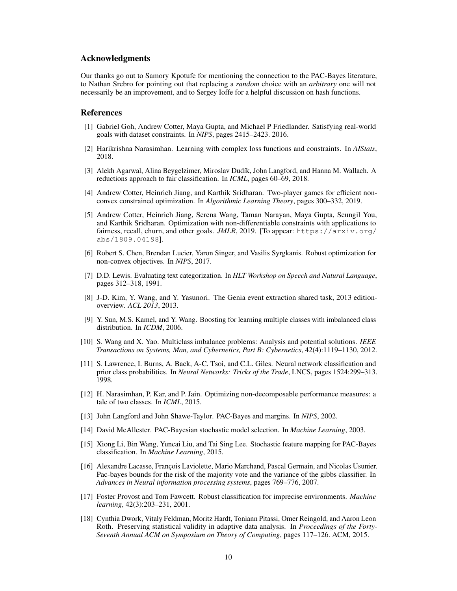#### Acknowledgments

Our thanks go out to Samory Kpotufe for mentioning the connection to the PAC-Bayes literature, to Nathan Srebro for pointing out that replacing a *random* choice with an *arbitrary* one will not necessarily be an improvement, and to Sergey Ioffe for a helpful discussion on hash functions.

#### References

- <span id="page-9-0"></span>[1] Gabriel Goh, Andrew Cotter, Maya Gupta, and Michael P Friedlander. Satisfying real-world goals with dataset constraints. In *NIPS*, pages 2415–2423. 2016.
- <span id="page-9-11"></span>[2] Harikrishna Narasimhan. Learning with complex loss functions and constraints. In *AIStats*, 2018.
- <span id="page-9-10"></span>[3] Alekh Agarwal, Alina Beygelzimer, Miroslav Dudík, John Langford, and Hanna M. Wallach. A reductions approach to fair classification. In *ICML*, pages 60–69, 2018.
- <span id="page-9-2"></span>[4] Andrew Cotter, Heinrich Jiang, and Karthik Sridharan. Two-player games for efficient nonconvex constrained optimization. In *Algorithmic Learning Theory*, pages 300–332, 2019.
- <span id="page-9-1"></span>[5] Andrew Cotter, Heinrich Jiang, Serena Wang, Taman Narayan, Maya Gupta, Seungil You, and Karthik Sridharan. Optimization with non-differentiable constraints with applications to fairness, recall, churn, and other goals. *JMLR*, 2019. [To appear: [https://arxiv.org/](https://arxiv.org/abs/1809.04198) [abs/1809.04198](https://arxiv.org/abs/1809.04198)].
- <span id="page-9-3"></span>[6] Robert S. Chen, Brendan Lucier, Yaron Singer, and Vasilis Syrgkanis. Robust optimization for non-convex objectives. In *NIPS*, 2017.
- <span id="page-9-4"></span>[7] D.D. Lewis. Evaluating text categorization. In *HLT Workshop on Speech and Natural Language*, pages 312–318, 1991.
- [8] J-D. Kim, Y. Wang, and Y. Yasunori. The Genia event extraction shared task, 2013 editionoverview. *ACL 2013*, 2013.
- [9] Y. Sun, M.S. Kamel, and Y. Wang. Boosting for learning multiple classes with imbalanced class distribution. In *ICDM*, 2006.
- [10] S. Wang and X. Yao. Multiclass imbalance problems: Analysis and potential solutions. *IEEE Transactions on Systems, Man, and Cybernetics, Part B: Cybernetics*, 42(4):1119–1130, 2012.
- [11] S. Lawrence, I. Burns, A. Back, A-C. Tsoi, and C.L. Giles. Neural network classification and prior class probabilities. In *Neural Networks: Tricks of the Trade*, LNCS, pages 1524:299–313. 1998.
- <span id="page-9-5"></span>[12] H. Narasimhan, P. Kar, and P. Jain. Optimizing non-decomposable performance measures: a tale of two classes. In *ICML*, 2015.
- <span id="page-9-6"></span>[13] John Langford and John Shawe-Taylor. PAC-Bayes and margins. In *NIPS*, 2002.
- [14] David McAllester. PAC-Bayesian stochastic model selection. In *Machine Learning*, 2003.
- [15] Xiong Li, Bin Wang, Yuncai Liu, and Tai Sing Lee. Stochastic feature mapping for PAC-Bayes classification. In *Machine Learning*, 2015.
- <span id="page-9-7"></span>[16] Alexandre Lacasse, François Laviolette, Mario Marchand, Pascal Germain, and Nicolas Usunier. Pac-bayes bounds for the risk of the majority vote and the variance of the gibbs classifier. In *Advances in Neural information processing systems*, pages 769–776, 2007.
- <span id="page-9-8"></span>[17] Foster Provost and Tom Fawcett. Robust classification for imprecise environments. *Machine learning*, 42(3):203–231, 2001.
- <span id="page-9-9"></span>[18] Cynthia Dwork, Vitaly Feldman, Moritz Hardt, Toniann Pitassi, Omer Reingold, and Aaron Leon Roth. Preserving statistical validity in adaptive data analysis. In *Proceedings of the Forty-Seventh Annual ACM on Symposium on Theory of Computing*, pages 117–126. ACM, 2015.